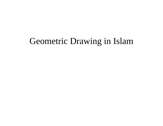#### Geometric Drawing in Islam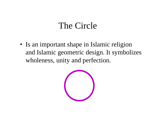#### The Circle

• Is an important shape in Islamic religion and Islamic geometric design. It symbolizes wholeness, unity and perfection.

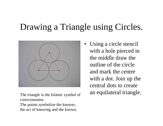#### Drawing a Triangle using Circles.



consciousness.The points symbolize the knower,

the act of knowing and the known.

• Using a circle stencil with a hole pierced in the middle draw the outline of the circle and mark the centre with a dot. Join up the central dots to create The triangle is the Islamic symbol of an equilateral triangle.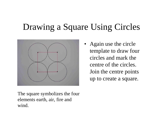#### Drawing a Square Using Circles



• Again use the circle template to draw four circles and mark the centre of the circles. Join the centre points up to create a square.

The square symbolizes the four elements earth, air, fire and wind.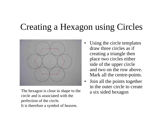#### Creating a Hexagon using Circles



The hexagon is close in shape to the  $\alpha$  six sided hexagon circle and is associated with the perfection of the circle. It is therefore a symbol of heaven.

- • Using the circle templates draw three circles as if creating a triangle then place two circles either side of the upper circle and two on the row above. Mark all the centre-points.
- $\bullet$  Join all the points together in the outer circle to create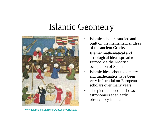#### Islamic Geometry



- • Islamic scholars studied and built on the mathematical ideas of the ancient Greeks
- • Islamic mathematical and astrological ideas spread to Europe via the Moorish occupation of Spain.
- • Islamic ideas about geometry and mathematics have been very influential on European scholars over many years.
- • The picture opposite shows astronomers at an early observatory in Istanbul.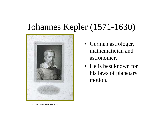#### Johannes Kepler (1571-1630)



- German astrologer, mathematician and astronomer.
- He is best known for his laws of planetary motion.

Picture source:www.mhs.ox.ac.uk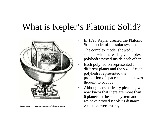#### What is Kepler's Platonic Solid?



- • In 1596 Kepler created the Platonic Solid model of the solar system.
- • The complex model showed 5 spheres with increasingly complex polyhedra nested inside each other.
- • Each polyhedron represented a different planet and the size of each polyhedra represented the proportion of space each planet was thought to occupy.
- • Although aesthetically pleasing, we now know that there are more than 6 planets in the solar system and we have proved Kepler's distance Image from: www.answers.com/topic/johannes-kepler estimates were wrong.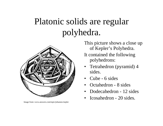# Platonic solids are regular polyhedra.



Image from: www.answers.com/topic/johannes-kepler

This picture shows a close up of Kepler's Polyhedra. It contained the following polyhedrons:

- Tetrahedron (pyramid) 4 sides.
- Cube 6 sides
- •Octahedron - 8 sides
- •Dodecahedron - 12 sides
- •Icosahedron - 20 sides.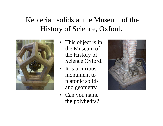#### Keplerian solids at the Museum of the History of Science, Oxford.



- This object is in the Museum of the History of Science Oxford.
- It is a curious monument to platonic solids and geometry
- Can you name the polyhedra?

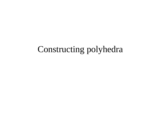#### Constructing polyhedra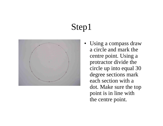

• Using a compass draw a circle and mark the centre point. Using a protractor divide the circle up into equal 30 degree sections mark each section with a dot. Make sure the top point is in line with the centre point.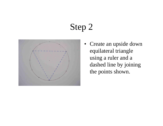

• Create an upside down equilateral triangle using a ruler and a dashed line by joining the points shown.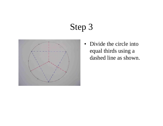

• Divide the circle into equal thirds using a dashed line as shown.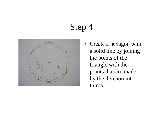

• Create a hexagon with a solid line by joining the points of the triangle with the points that are made by the division into thirds.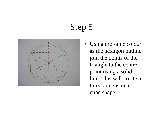

• Using the same colour as the hexagon outline join the points of the triangle to the centre point using a solid line. This will create a three dimensional cube shape.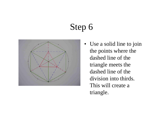

• Use a solid line to join the points where the dashed line of the triangle meets the dashed line of the division into thirds. This will create a triangle.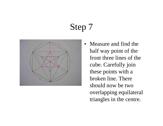

• Measure and find the half way point of the front three lines of the cube. Carefully join these points with a broken line. There should now be two overlapping equilateral triangles in the centre.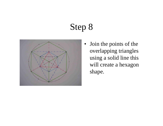

• Join the points of the overlapping triangles using a solid line this will create a hexagon shape.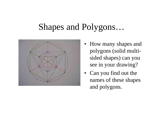#### Shapes and Polygons…



- How many shapes and polygons (solid multisided shapes) can you see in your drawing?
- Can you find out the names of these shapes and polygons.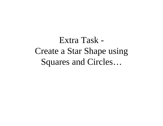Extra Task - Create a Star Shape using Squares and Circles…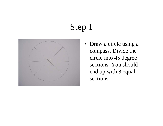

• Draw a circle using a compass. Divide the circle into 45 degree sections. You should end up with 8 equal sections.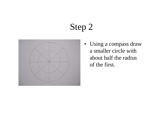

• Using a compass draw a smaller circle with about half the radius of the first.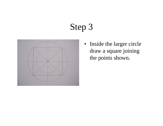

• Inside the larger circle draw a square joining the points shown.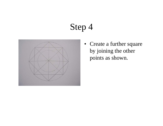

• Create a further square by joining the other points as shown.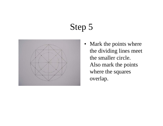

• Mark the points where the dividing lines meet the smaller circle. Also mark the points where the squares overlap.